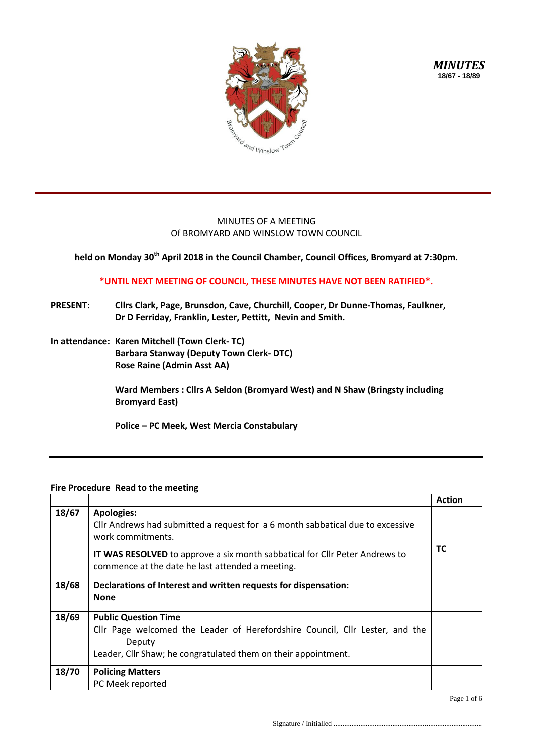

*MINUTES* **18/67 - 18/89**

## MINUTES OF A MEETING Of BROMYARD AND WINSLOW TOWN COUNCIL

**held on Monday 30th April 2018 in the Council Chamber, Council Offices, Bromyard at 7:30pm.**

**\*UNTIL NEXT MEETING OF COUNCIL, THESE MINUTES HAVE NOT BEEN RATIFIED\*.**

- **PRESENT: Cllrs Clark, Page, Brunsdon, Cave, Churchill, Cooper, Dr Dunne-Thomas, Faulkner, Dr D Ferriday, Franklin, Lester, Pettitt, Nevin and Smith.**
- **In attendance: Karen Mitchell (Town Clerk- TC) Barbara Stanway (Deputy Town Clerk- DTC) Rose Raine (Admin Asst AA)**

**Ward Members : Cllrs A Seldon (Bromyard West) and N Shaw (Bringsty including Bromyard East)**

**Police – PC Meek, West Mercia Constabulary**

## **Fire Procedure Read to the meeting**

|       |                                                                                                                                                                                                                                                                    | <b>Action</b> |
|-------|--------------------------------------------------------------------------------------------------------------------------------------------------------------------------------------------------------------------------------------------------------------------|---------------|
| 18/67 | <b>Apologies:</b><br>Cllr Andrews had submitted a request for a 6 month sabbatical due to excessive<br>work commitments.<br><b>IT WAS RESOLVED</b> to approve a six month sabbatical for Cllr Peter Andrews to<br>commence at the date he last attended a meeting. | <b>TC</b>     |
| 18/68 | Declarations of Interest and written requests for dispensation:<br><b>None</b>                                                                                                                                                                                     |               |
| 18/69 | <b>Public Question Time</b><br>Cllr Page welcomed the Leader of Herefordshire Council, Cllr Lester, and the<br>Deputy<br>Leader, Cllr Shaw; he congratulated them on their appointment.                                                                            |               |
| 18/70 | <b>Policing Matters</b><br>PC Meek reported                                                                                                                                                                                                                        |               |

Page 1 of 6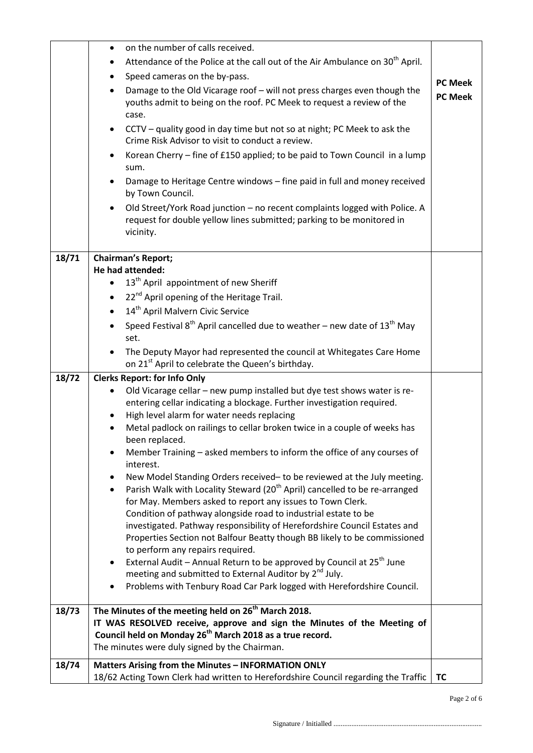|       | on the number of calls received.<br>$\bullet$                                                                                                                    |                                  |
|-------|------------------------------------------------------------------------------------------------------------------------------------------------------------------|----------------------------------|
|       | Attendance of the Police at the call out of the Air Ambulance on 30 <sup>th</sup> April.                                                                         |                                  |
|       | Speed cameras on the by-pass.                                                                                                                                    |                                  |
|       | Damage to the Old Vicarage roof - will not press charges even though the<br>$\bullet$                                                                            | <b>PC Meek</b><br><b>PC Meek</b> |
|       | youths admit to being on the roof. PC Meek to request a review of the<br>case.                                                                                   |                                  |
|       | CCTV – quality good in day time but not so at night; PC Meek to ask the<br>$\bullet$<br>Crime Risk Advisor to visit to conduct a review.                         |                                  |
|       | Korean Cherry – fine of £150 applied; to be paid to Town Council in a lump<br>$\bullet$<br>sum.                                                                  |                                  |
|       | Damage to Heritage Centre windows - fine paid in full and money received<br>by Town Council.                                                                     |                                  |
|       | Old Street/York Road junction - no recent complaints logged with Police. A<br>request for double yellow lines submitted; parking to be monitored in<br>vicinity. |                                  |
| 18/71 | Chairman's Report;                                                                                                                                               |                                  |
|       | He had attended:                                                                                                                                                 |                                  |
|       | 13 <sup>th</sup> April appointment of new Sheriff                                                                                                                |                                  |
|       | 22 <sup>nd</sup> April opening of the Heritage Trail.                                                                                                            |                                  |
|       | 14 <sup>th</sup> April Malvern Civic Service                                                                                                                     |                                  |
|       | Speed Festival $8^{th}$ April cancelled due to weather – new date of 13 <sup>th</sup> May<br>set.                                                                |                                  |
|       | The Deputy Mayor had represented the council at Whitegates Care Home<br>on 21 <sup>st</sup> April to celebrate the Queen's birthday.                             |                                  |
| 18/72 | <b>Clerks Report: for Info Only</b>                                                                                                                              |                                  |
|       | Old Vicarage cellar - new pump installed but dye test shows water is re-                                                                                         |                                  |
|       | entering cellar indicating a blockage. Further investigation required.                                                                                           |                                  |
|       | High level alarm for water needs replacing                                                                                                                       |                                  |
|       | Metal padlock on railings to cellar broken twice in a couple of weeks has<br>been replaced.                                                                      |                                  |
|       | Member Training - asked members to inform the office of any courses of<br>٠<br>interest.                                                                         |                                  |
|       | New Model Standing Orders received- to be reviewed at the July meeting.                                                                                          |                                  |
|       | Parish Walk with Locality Steward (20 <sup>th</sup> April) cancelled to be re-arranged<br>$\bullet$                                                              |                                  |
|       | for May. Members asked to report any issues to Town Clerk.                                                                                                       |                                  |
|       | Condition of pathway alongside road to industrial estate to be                                                                                                   |                                  |
|       | investigated. Pathway responsibility of Herefordshire Council Estates and<br>Properties Section not Balfour Beatty though BB likely to be commissioned           |                                  |
|       | to perform any repairs required.                                                                                                                                 |                                  |
|       | External Audit - Annual Return to be approved by Council at 25 <sup>th</sup> June<br>٠                                                                           |                                  |
|       | meeting and submitted to External Auditor by 2 <sup>nd</sup> July.                                                                                               |                                  |
|       | Problems with Tenbury Road Car Park logged with Herefordshire Council.                                                                                           |                                  |
| 18/73 | The Minutes of the meeting held on 26 <sup>th</sup> March 2018.                                                                                                  |                                  |
|       | IT WAS RESOLVED receive, approve and sign the Minutes of the Meeting of                                                                                          |                                  |
|       | Council held on Monday 26 <sup>th</sup> March 2018 as a true record.<br>The minutes were duly signed by the Chairman.                                            |                                  |
|       |                                                                                                                                                                  |                                  |
| 18/74 | <b>Matters Arising from the Minutes - INFORMATION ONLY</b><br>18/62 Acting Town Clerk had written to Herefordshire Council regarding the Traffic                 | <b>TC</b>                        |

Page 2 of 6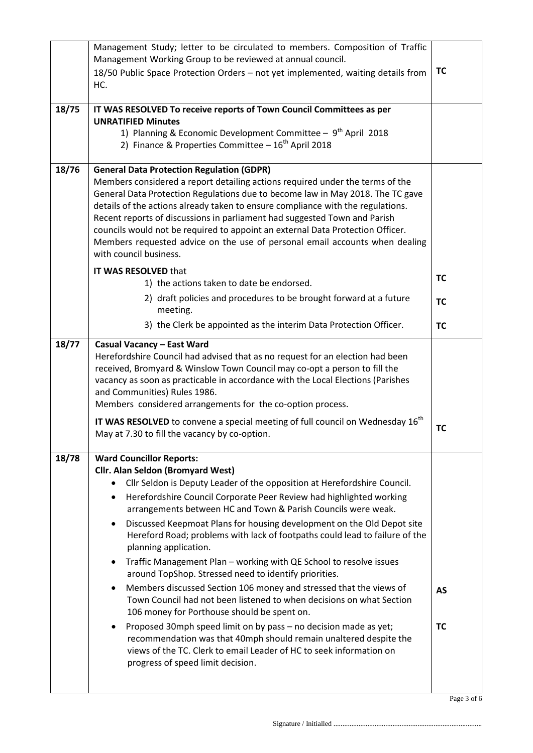|       | Management Study; letter to be circulated to members. Composition of Traffic<br>Management Working Group to be reviewed at annual council.<br>18/50 Public Space Protection Orders - not yet implemented, waiting details from<br>HC.                                                                                                                                                                                                                                                                                                                                                                                                                                                                                                                                                                                                                                                                                                                                                                                                                                                                     | <b>TC</b>              |
|-------|-----------------------------------------------------------------------------------------------------------------------------------------------------------------------------------------------------------------------------------------------------------------------------------------------------------------------------------------------------------------------------------------------------------------------------------------------------------------------------------------------------------------------------------------------------------------------------------------------------------------------------------------------------------------------------------------------------------------------------------------------------------------------------------------------------------------------------------------------------------------------------------------------------------------------------------------------------------------------------------------------------------------------------------------------------------------------------------------------------------|------------------------|
| 18/75 | IT WAS RESOLVED To receive reports of Town Council Committees as per<br><b>UNRATIFIED Minutes</b><br>1) Planning & Economic Development Committee - 9 <sup>th</sup> April 2018<br>2) Finance & Properties Committee - 16 <sup>th</sup> April 2018                                                                                                                                                                                                                                                                                                                                                                                                                                                                                                                                                                                                                                                                                                                                                                                                                                                         |                        |
| 18/76 | <b>General Data Protection Regulation (GDPR)</b><br>Members considered a report detailing actions required under the terms of the<br>General Data Protection Regulations due to become law in May 2018. The TC gave<br>details of the actions already taken to ensure compliance with the regulations.<br>Recent reports of discussions in parliament had suggested Town and Parish<br>councils would not be required to appoint an external Data Protection Officer.<br>Members requested advice on the use of personal email accounts when dealing<br>with council business.                                                                                                                                                                                                                                                                                                                                                                                                                                                                                                                            |                        |
|       | IT WAS RESOLVED that<br>1) the actions taken to date be endorsed.<br>2) draft policies and procedures to be brought forward at a future                                                                                                                                                                                                                                                                                                                                                                                                                                                                                                                                                                                                                                                                                                                                                                                                                                                                                                                                                                   | <b>TC</b>              |
|       | meeting.<br>3) the Clerk be appointed as the interim Data Protection Officer.                                                                                                                                                                                                                                                                                                                                                                                                                                                                                                                                                                                                                                                                                                                                                                                                                                                                                                                                                                                                                             | <b>TC</b><br><b>TC</b> |
| 18/77 | <b>Casual Vacancy - East Ward</b><br>Herefordshire Council had advised that as no request for an election had been<br>received, Bromyard & Winslow Town Council may co-opt a person to fill the<br>vacancy as soon as practicable in accordance with the Local Elections (Parishes<br>and Communities) Rules 1986.<br>Members considered arrangements for the co-option process.<br>IT WAS RESOLVED to convene a special meeting of full council on Wednesday 16 <sup>th</sup><br>May at 7.30 to fill the vacancy by co-option.                                                                                                                                                                                                                                                                                                                                                                                                                                                                                                                                                                           | <b>TC</b>              |
| 18/78 | <b>Ward Councillor Reports:</b><br><b>Cllr. Alan Seldon (Bromyard West)</b><br>Cllr Seldon is Deputy Leader of the opposition at Herefordshire Council.<br>Herefordshire Council Corporate Peer Review had highlighted working<br>$\bullet$<br>arrangements between HC and Town & Parish Councils were weak.<br>Discussed Keepmoat Plans for housing development on the Old Depot site<br>Hereford Road; problems with lack of footpaths could lead to failure of the<br>planning application.<br>Traffic Management Plan - working with QE School to resolve issues<br>$\bullet$<br>around TopShop. Stressed need to identify priorities.<br>Members discussed Section 106 money and stressed that the views of<br>$\bullet$<br>Town Council had not been listened to when decisions on what Section<br>106 money for Porthouse should be spent on.<br>Proposed 30mph speed limit on by pass - no decision made as yet;<br>recommendation was that 40mph should remain unaltered despite the<br>views of the TC. Clerk to email Leader of HC to seek information on<br>progress of speed limit decision. | <b>AS</b><br><b>TC</b> |

Page 3 of 6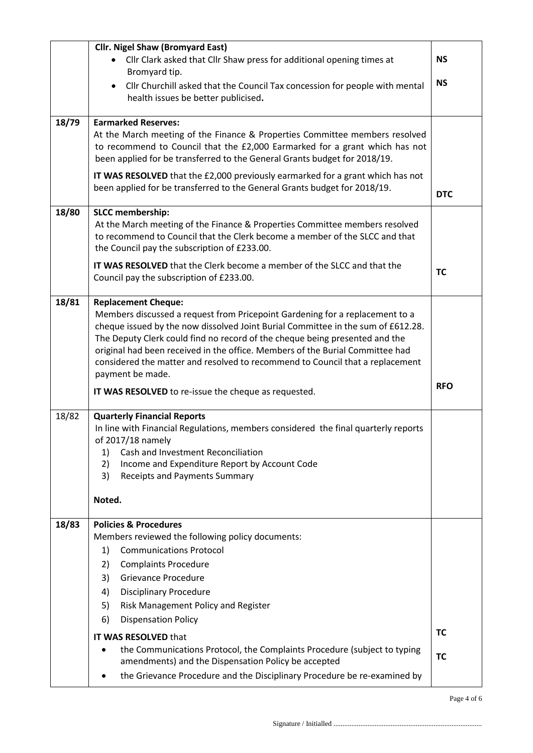|       | <b>Cllr. Nigel Shaw (Bromyard East)</b>                                                                                                                    |            |
|-------|------------------------------------------------------------------------------------------------------------------------------------------------------------|------------|
|       | • Cllr Clark asked that Cllr Shaw press for additional opening times at                                                                                    | <b>NS</b>  |
|       | Bromyard tip.                                                                                                                                              | <b>NS</b>  |
|       | Cllr Churchill asked that the Council Tax concession for people with mental<br>$\bullet$<br>health issues be better publicised.                            |            |
|       |                                                                                                                                                            |            |
| 18/79 | <b>Earmarked Reserves:</b>                                                                                                                                 |            |
|       | At the March meeting of the Finance & Properties Committee members resolved<br>to recommend to Council that the £2,000 Earmarked for a grant which has not |            |
|       | been applied for be transferred to the General Grants budget for 2018/19.                                                                                  |            |
|       | IT WAS RESOLVED that the £2,000 previously earmarked for a grant which has not                                                                             |            |
|       | been applied for be transferred to the General Grants budget for 2018/19.                                                                                  |            |
|       |                                                                                                                                                            | <b>DTC</b> |
| 18/80 | <b>SLCC</b> membership:                                                                                                                                    |            |
|       | At the March meeting of the Finance & Properties Committee members resolved<br>to recommend to Council that the Clerk become a member of the SLCC and that |            |
|       | the Council pay the subscription of £233.00.                                                                                                               |            |
|       | IT WAS RESOLVED that the Clerk become a member of the SLCC and that the                                                                                    |            |
|       | Council pay the subscription of £233.00.                                                                                                                   | <b>TC</b>  |
| 18/81 |                                                                                                                                                            |            |
|       | <b>Replacement Cheque:</b><br>Members discussed a request from Pricepoint Gardening for a replacement to a                                                 |            |
|       | cheque issued by the now dissolved Joint Burial Committee in the sum of £612.28.                                                                           |            |
|       | The Deputy Clerk could find no record of the cheque being presented and the                                                                                |            |
|       | original had been received in the office. Members of the Burial Committee had                                                                              |            |
|       | considered the matter and resolved to recommend to Council that a replacement<br>payment be made.                                                          |            |
|       | IT WAS RESOLVED to re-issue the cheque as requested.                                                                                                       | <b>RFO</b> |
|       |                                                                                                                                                            |            |
| 18/82 | <b>Quarterly Financial Reports</b>                                                                                                                         |            |
|       | In line with Financial Regulations, members considered the final quarterly reports<br>of 2017/18 namely                                                    |            |
|       | Cash and Investment Reconciliation<br>1)                                                                                                                   |            |
|       | Income and Expenditure Report by Account Code<br>2)                                                                                                        |            |
|       | 3)<br><b>Receipts and Payments Summary</b>                                                                                                                 |            |
|       | Noted.                                                                                                                                                     |            |
|       |                                                                                                                                                            |            |
| 18/83 | <b>Policies &amp; Procedures</b>                                                                                                                           |            |
|       | Members reviewed the following policy documents:<br><b>Communications Protocol</b>                                                                         |            |
|       | 1)<br>2)<br><b>Complaints Procedure</b>                                                                                                                    |            |
|       | <b>Grievance Procedure</b><br>3)                                                                                                                           |            |
|       | <b>Disciplinary Procedure</b><br>4)                                                                                                                        |            |
|       | Risk Management Policy and Register<br>5)                                                                                                                  |            |
|       | <b>Dispensation Policy</b><br>6)                                                                                                                           |            |
|       | <b>IT WAS RESOLVED that</b>                                                                                                                                | TC         |
|       | the Communications Protocol, the Complaints Procedure (subject to typing<br>$\bullet$                                                                      | <b>TC</b>  |
|       | amendments) and the Dispensation Policy be accepted                                                                                                        |            |
|       | the Grievance Procedure and the Disciplinary Procedure be re-examined by<br>٠                                                                              |            |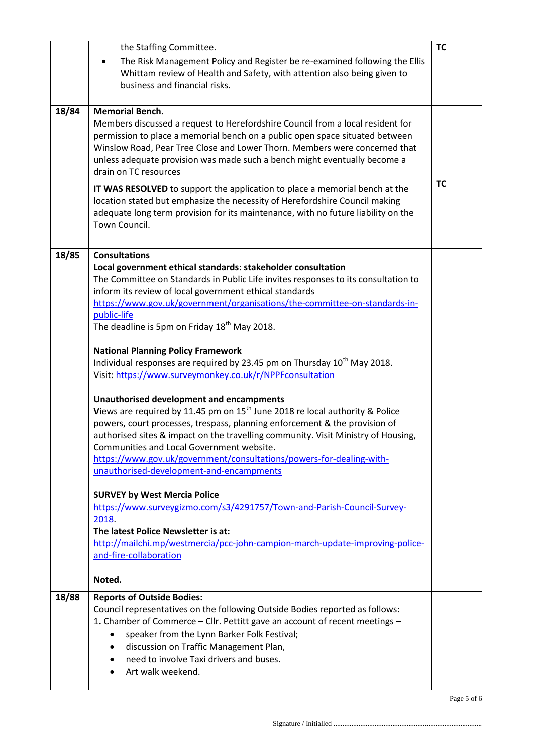|       | the Staffing Committee.                                                                                                                                                                                                                                                                                                                                                                                                                                                                                                                                                                                                                                                                                                                                                                                                                                                                                                                                                                                                                                                                                                                                                                                                                                                                                                                                                 | <b>TC</b> |
|-------|-------------------------------------------------------------------------------------------------------------------------------------------------------------------------------------------------------------------------------------------------------------------------------------------------------------------------------------------------------------------------------------------------------------------------------------------------------------------------------------------------------------------------------------------------------------------------------------------------------------------------------------------------------------------------------------------------------------------------------------------------------------------------------------------------------------------------------------------------------------------------------------------------------------------------------------------------------------------------------------------------------------------------------------------------------------------------------------------------------------------------------------------------------------------------------------------------------------------------------------------------------------------------------------------------------------------------------------------------------------------------|-----------|
|       | The Risk Management Policy and Register be re-examined following the Ellis<br>Whittam review of Health and Safety, with attention also being given to<br>business and financial risks.                                                                                                                                                                                                                                                                                                                                                                                                                                                                                                                                                                                                                                                                                                                                                                                                                                                                                                                                                                                                                                                                                                                                                                                  |           |
| 18/84 | <b>Memorial Bench.</b><br>Members discussed a request to Herefordshire Council from a local resident for<br>permission to place a memorial bench on a public open space situated between<br>Winslow Road, Pear Tree Close and Lower Thorn. Members were concerned that<br>unless adequate provision was made such a bench might eventually become a<br>drain on TC resources<br>IT WAS RESOLVED to support the application to place a memorial bench at the<br>location stated but emphasize the necessity of Herefordshire Council making<br>adequate long term provision for its maintenance, with no future liability on the<br>Town Council.                                                                                                                                                                                                                                                                                                                                                                                                                                                                                                                                                                                                                                                                                                                        | <b>TC</b> |
| 18/85 | <b>Consultations</b><br>Local government ethical standards: stakeholder consultation<br>The Committee on Standards in Public Life invites responses to its consultation to<br>inform its review of local government ethical standards<br>https://www.gov.uk/government/organisations/the-committee-on-standards-in-<br>public-life<br>The deadline is 5pm on Friday 18 <sup>th</sup> May 2018.<br><b>National Planning Policy Framework</b><br>Individual responses are required by 23.45 pm on Thursday 10 <sup>th</sup> May 2018.<br>Visit: https://www.surveymonkey.co.uk/r/NPPFconsultation<br><b>Unauthorised development and encampments</b><br>Views are required by 11.45 pm on 15 <sup>th</sup> June 2018 re local authority & Police<br>powers, court processes, trespass, planning enforcement & the provision of<br>authorised sites & impact on the travelling community. Visit Ministry of Housing,<br>Communities and Local Government website.<br>https://www.gov.uk/government/consultations/powers-for-dealing-with-<br>unauthorised-development-and-encampments<br><b>SURVEY by West Mercia Police</b><br>https://www.surveygizmo.com/s3/4291757/Town-and-Parish-Council-Survey-<br>2018.<br>The latest Police Newsletter is at:<br>http://mailchi.mp/westmercia/pcc-john-campion-march-update-improving-police-<br>and-fire-collaboration<br>Noted. |           |
| 18/88 | <b>Reports of Outside Bodies:</b><br>Council representatives on the following Outside Bodies reported as follows:<br>1. Chamber of Commerce - Cllr. Pettitt gave an account of recent meetings -<br>speaker from the Lynn Barker Folk Festival;<br>discussion on Traffic Management Plan,<br>need to involve Taxi drivers and buses.<br>Art walk weekend.                                                                                                                                                                                                                                                                                                                                                                                                                                                                                                                                                                                                                                                                                                                                                                                                                                                                                                                                                                                                               |           |